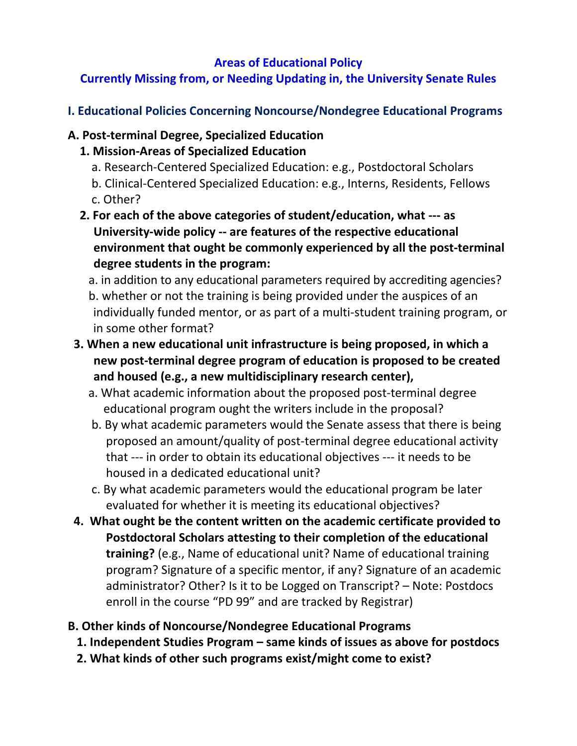#### **Areas of Educational Policy**

# **Currently Missing from, or Needing Updating in, the University Senate Rules**

**I. Educational Policies Concerning Noncourse/Nondegree Educational Programs**

## **A. Post-terminal Degree, Specialized Education**

## **1. Mission-Areas of Specialized Education**

- a. Research-Centered Specialized Education: e.g., Postdoctoral Scholars
- b. Clinical-Centered Specialized Education: e.g., Interns, Residents, Fellows c. Other?
- **2. For each of the above categories of student/education, what --- as University-wide policy -- are features of the respective educational environment that ought be commonly experienced by all the post-terminal degree students in the program:**
	- a. in addition to any educational parameters required by accrediting agencies? b. whether or not the training is being provided under the auspices of an individually funded mentor, or as part of a multi-student training program, or in some other format?
- **3. When a new educational unit infrastructure is being proposed, in which a new post-terminal degree program of education is proposed to be created and housed (e.g., a new multidisciplinary research center),** 
	- a. What academic information about the proposed post-terminal degree educational program ought the writers include in the proposal?
	- b. By what academic parameters would the Senate assess that there is being proposed an amount/quality of post-terminal degree educational activity that --- in order to obtain its educational objectives --- it needs to be housed in a dedicated educational unit?
	- c. By what academic parameters would the educational program be later evaluated for whether it is meeting its educational objectives?
- **4. What ought be the content written on the academic certificate provided to Postdoctoral Scholars attesting to their completion of the educational training?** (e.g., Name of educational unit? Name of educational training program? Signature of a specific mentor, if any? Signature of an academic administrator? Other? Is it to be Logged on Transcript? – Note: Postdocs enroll in the course "PD 99" and are tracked by Registrar)

## **B. Other kinds of Noncourse/Nondegree Educational Programs**

- **1. Independent Studies Program – same kinds of issues as above for postdocs**
- **2. What kinds of other such programs exist/might come to exist?**